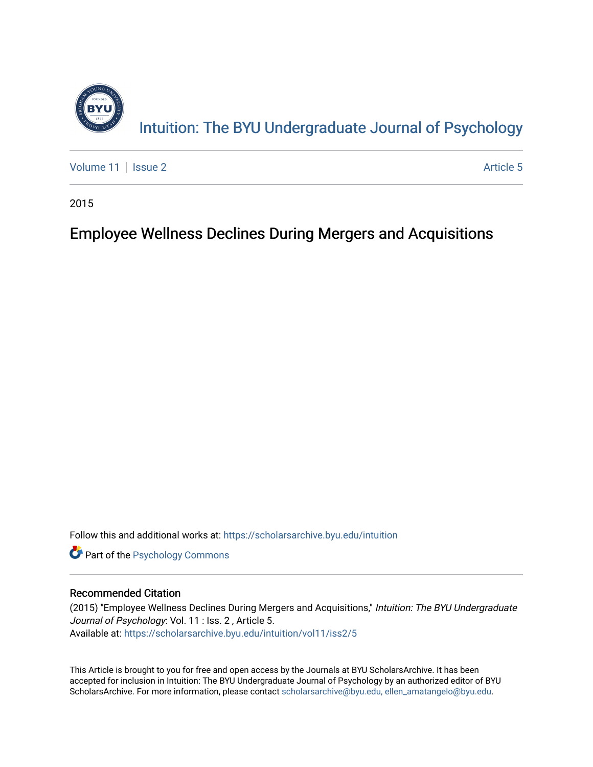

[Volume 11](https://scholarsarchive.byu.edu/intuition/vol11) | [Issue 2](https://scholarsarchive.byu.edu/intuition/vol11/iss2) Article 5

2015

## Employee Wellness Declines During Mergers and Acquisitions

Follow this and additional works at: [https://scholarsarchive.byu.edu/intuition](https://scholarsarchive.byu.edu/intuition?utm_source=scholarsarchive.byu.edu%2Fintuition%2Fvol11%2Fiss2%2F5&utm_medium=PDF&utm_campaign=PDFCoverPages) 

**Part of the Psychology Commons** 

#### Recommended Citation

(2015) "Employee Wellness Declines During Mergers and Acquisitions," Intuition: The BYU Undergraduate Journal of Psychology: Vol. 11 : Iss. 2 , Article 5. Available at: [https://scholarsarchive.byu.edu/intuition/vol11/iss2/5](https://scholarsarchive.byu.edu/intuition/vol11/iss2/5?utm_source=scholarsarchive.byu.edu%2Fintuition%2Fvol11%2Fiss2%2F5&utm_medium=PDF&utm_campaign=PDFCoverPages) 

This Article is brought to you for free and open access by the Journals at BYU ScholarsArchive. It has been accepted for inclusion in Intuition: The BYU Undergraduate Journal of Psychology by an authorized editor of BYU ScholarsArchive. For more information, please contact [scholarsarchive@byu.edu, ellen\\_amatangelo@byu.edu.](mailto:scholarsarchive@byu.edu,%20ellen_amatangelo@byu.edu)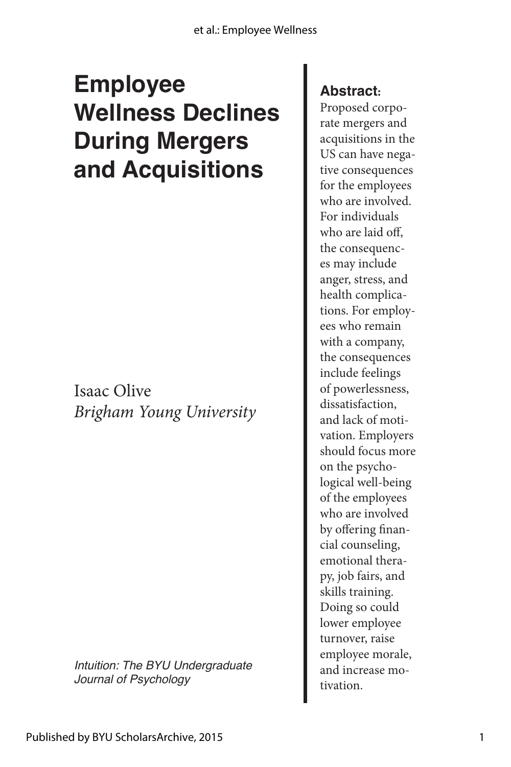# **Employee Wellness Declines During Mergers and Acquisitions**

Isaac Olive *Brigham Young University*

*Intuition: The BYU Undergraduate Journal of Psychology*

### **Abstract:**

Proposed corporate mergers and acquisitions in the US can have negative consequences for the employees who are involved. For individuals who are laid off, the consequences may include anger, stress, and health complications. For employees who remain with a company, the consequences include feelings of powerlessness, dissatisfaction, and lack of motivation. Employers should focus more on the psychological well-being of the employees who are involved by offering financial counseling, emotional therapy, job fairs, and skills training. Doing so could lower employee turnover, raise employee morale, and increase motivation.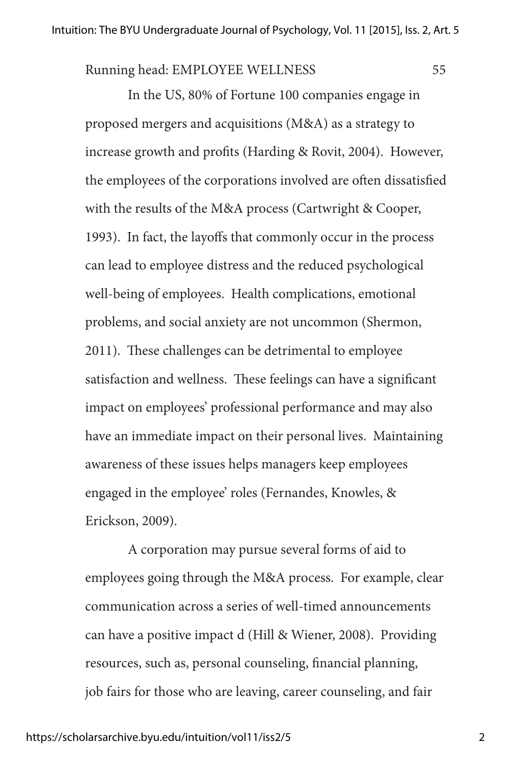Running head: EMPLOYEE WELLNESS 55

In the US, 80% of Fortune 100 companies engage in proposed mergers and acquisitions (M&A) as a strategy to increase growth and profits (Harding & Rovit, 2004). However, the employees of the corporations involved are often dissatisfied with the results of the M&A process (Cartwright & Cooper, 1993). In fact, the layoffs that commonly occur in the process can lead to employee distress and the reduced psychological well-being of employees. Health complications, emotional problems, and social anxiety are not uncommon (Shermon, 2011). These challenges can be detrimental to employee satisfaction and wellness. These feelings can have a significant impact on employees' professional performance and may also have an immediate impact on their personal lives. Maintaining awareness of these issues helps managers keep employees engaged in the employee' roles (Fernandes, Knowles, & Erickson, 2009).

A corporation may pursue several forms of aid to employees going through the M&A process. For example, clear communication across a series of well-timed announcements can have a positive impact d (Hill & Wiener, 2008). Providing resources, such as, personal counseling, financial planning, job fairs for those who are leaving, career counseling, and fair

2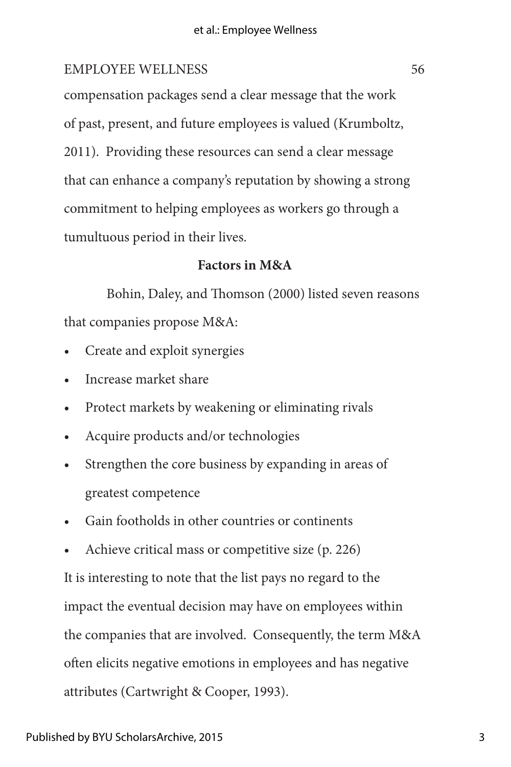compensation packages send a clear message that the work of past, present, and future employees is valued (Krumboltz, 2011). Providing these resources can send a clear message that can enhance a company's reputation by showing a strong commitment to helping employees as workers go through a tumultuous period in their lives.

#### **Factors in M&A**

Bohin, Daley, and Thomson (2000) listed seven reasons that companies propose M&A:

- Create and exploit synergies
- Increase market share
- Protect markets by weakening or eliminating rivals
- Acquire products and/or technologies
- Strengthen the core business by expanding in areas of greatest competence
- Gain footholds in other countries or continents
- Achieve critical mass or competitive size (p. 226)

It is interesting to note that the list pays no regard to the impact the eventual decision may have on employees within the companies that are involved. Consequently, the term M&A often elicits negative emotions in employees and has negative attributes (Cartwright & Cooper, 1993).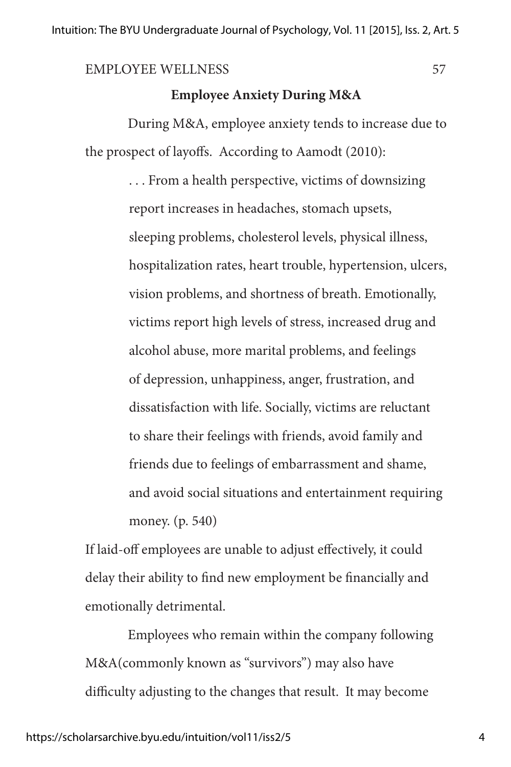#### **Employee Anxiety During M&A**

During M&A, employee anxiety tends to increase due to the prospect of layoffs. According to Aamodt (2010):

> . . . From a health perspective, victims of downsizing report increases in headaches, stomach upsets, sleeping problems, cholesterol levels, physical illness, hospitalization rates, heart trouble, hypertension, ulcers, vision problems, and shortness of breath. Emotionally, victims report high levels of stress, increased drug and alcohol abuse, more marital problems, and feelings of depression, unhappiness, anger, frustration, and dissatisfaction with life. Socially, victims are reluctant to share their feelings with friends, avoid family and friends due to feelings of embarrassment and shame, and avoid social situations and entertainment requiring money. (p. 540)

If laid-off employees are unable to adjust effectively, it could delay their ability to find new employment be financially and emotionally detrimental.

Employees who remain within the company following M&A(commonly known as "survivors") may also have difficulty adjusting to the changes that result. It may become

4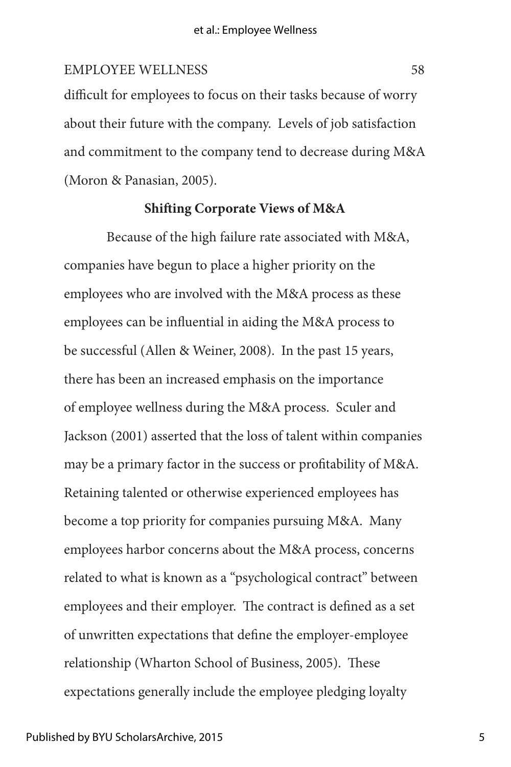difficult for employees to focus on their tasks because of worry about their future with the company. Levels of job satisfaction and commitment to the company tend to decrease during M&A (Moron & Panasian, 2005).

#### **Shifting Corporate Views of M&A**

Because of the high failure rate associated with M&A, companies have begun to place a higher priority on the employees who are involved with the M&A process as these employees can be influential in aiding the M&A process to be successful (Allen & Weiner, 2008). In the past 15 years, there has been an increased emphasis on the importance of employee wellness during the M&A process. Sculer and Jackson (2001) asserted that the loss of talent within companies may be a primary factor in the success or profitability of M&A. Retaining talented or otherwise experienced employees has become a top priority for companies pursuing M&A. Many employees harbor concerns about the M&A process, concerns related to what is known as a "psychological contract" between employees and their employer. The contract is defined as a set of unwritten expectations that define the employer-employee relationship (Wharton School of Business, 2005). These expectations generally include the employee pledging loyalty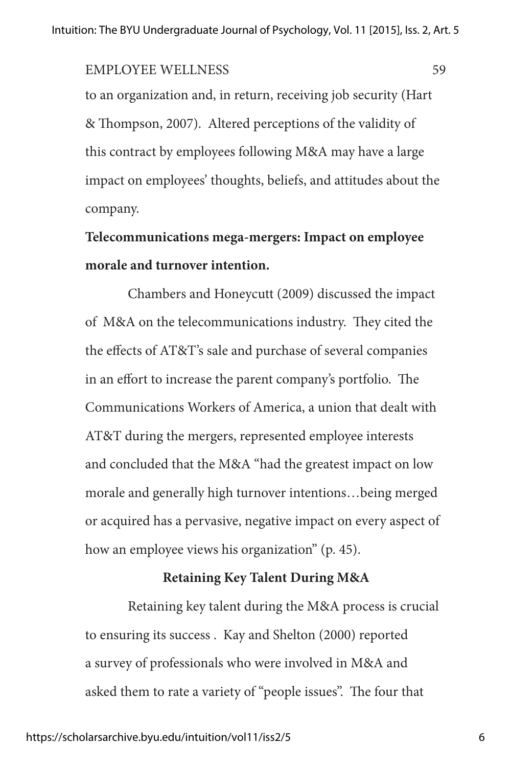to an organization and, in return, receiving job security (Hart & Thompson, 2007). Altered perceptions of the validity of this contract by employees following M&A may have a large impact on employees' thoughts, beliefs, and attitudes about the company.

## **Telecommunications mega-mergers: Impact on employee morale and turnover intention.**

Chambers and Honeycutt (2009) discussed the impact of M&A on the telecommunications industry. They cited the the effects of AT&T's sale and purchase of several companies in an effort to increase the parent company's portfolio. The Communications Workers of America, a union that dealt with AT&T during the mergers, represented employee interests and concluded that the M&A "had the greatest impact on low morale and generally high turnover intentions…being merged or acquired has a pervasive, negative impact on every aspect of how an employee views his organization" (p. 45).

#### **Retaining Key Talent During M&A**

Retaining key talent during the M&A process is crucial to ensuring its success . Kay and Shelton (2000) reported a survey of professionals who were involved in M&A and asked them to rate a variety of "people issues". The four that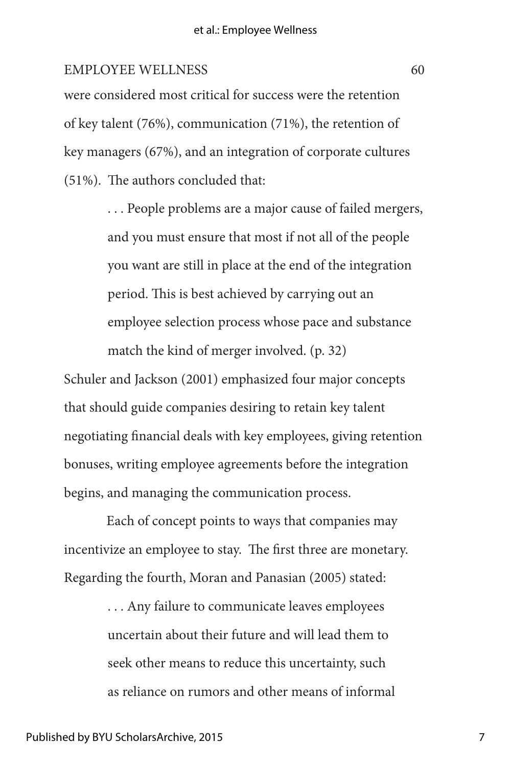were considered most critical for success were the retention of key talent (76%), communication (71%), the retention of key managers (67%), and an integration of corporate cultures (51%). The authors concluded that:

> . . . People problems are a major cause of failed mergers, and you must ensure that most if not all of the people you want are still in place at the end of the integration period. This is best achieved by carrying out an employee selection process whose pace and substance match the kind of merger involved. (p. 32)

Schuler and Jackson (2001) emphasized four major concepts that should guide companies desiring to retain key talent negotiating financial deals with key employees, giving retention bonuses, writing employee agreements before the integration begins, and managing the communication process.

Each of concept points to ways that companies may incentivize an employee to stay. The first three are monetary. Regarding the fourth, Moran and Panasian (2005) stated:

> . . . Any failure to communicate leaves employees uncertain about their future and will lead them to seek other means to reduce this uncertainty, such as reliance on rumors and other means of informal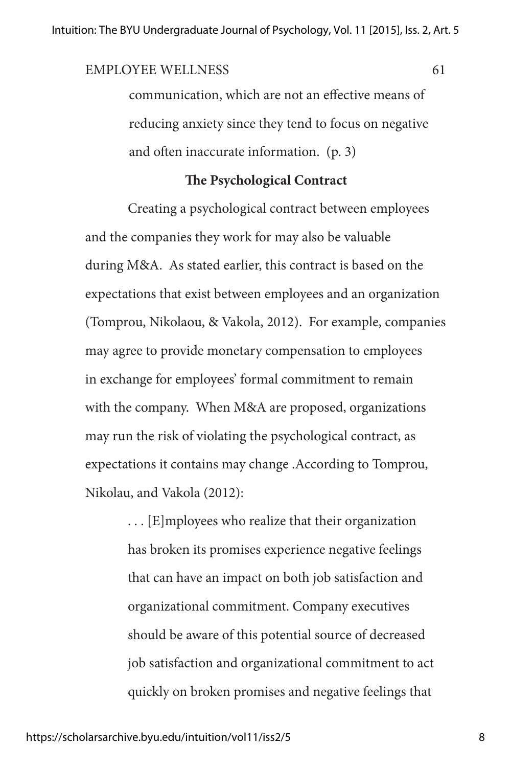communication, which are not an effective means of reducing anxiety since they tend to focus on negative and often inaccurate information. (p. 3)

#### **The Psychological Contract**

Creating a psychological contract between employees and the companies they work for may also be valuable during M&A. As stated earlier, this contract is based on the expectations that exist between employees and an organization (Tomprou, Nikolaou, & Vakola, 2012). For example, companies may agree to provide monetary compensation to employees in exchange for employees' formal commitment to remain with the company. When M&A are proposed, organizations may run the risk of violating the psychological contract, as expectations it contains may change .According to Tomprou, Nikolau, and Vakola (2012):

> . . . [E]mployees who realize that their organization has broken its promises experience negative feelings that can have an impact on both job satisfaction and organizational commitment. Company executives should be aware of this potential source of decreased job satisfaction and organizational commitment to act quickly on broken promises and negative feelings that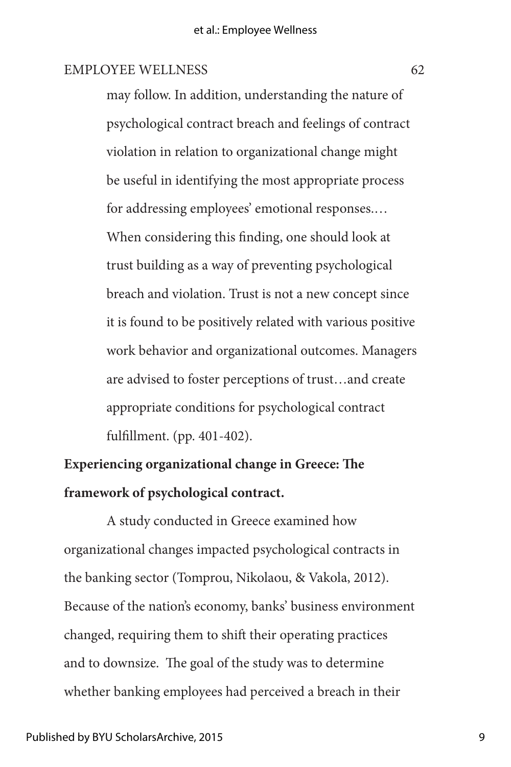may follow. In addition, understanding the nature of psychological contract breach and feelings of contract violation in relation to organizational change might be useful in identifying the most appropriate process for addressing employees' emotional responses.… When considering this finding, one should look at trust building as a way of preventing psychological breach and violation. Trust is not a new concept since it is found to be positively related with various positive work behavior and organizational outcomes. Managers are advised to foster perceptions of trust…and create appropriate conditions for psychological contract fulfillment. (pp. 401-402).

## **Experiencing organizational change in Greece: The framework of psychological contract.**

A study conducted in Greece examined how organizational changes impacted psychological contracts in the banking sector (Tomprou, Nikolaou, & Vakola, 2012). Because of the nation's economy, banks' business environment changed, requiring them to shift their operating practices and to downsize. The goal of the study was to determine whether banking employees had perceived a breach in their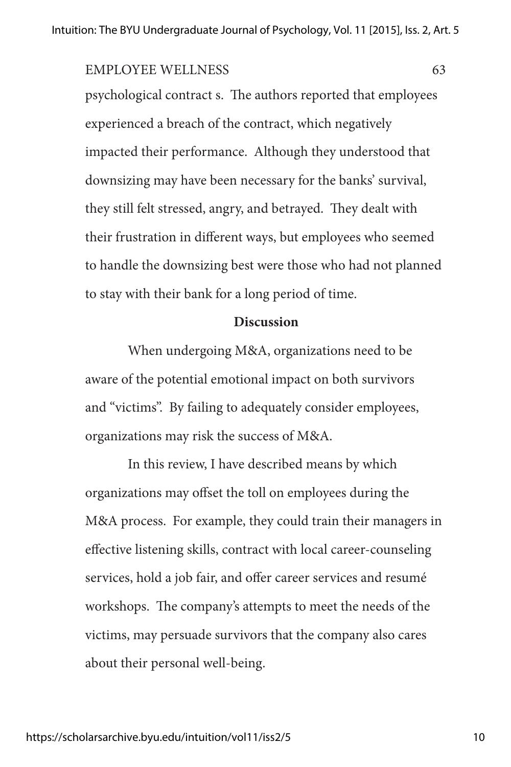psychological contract s. The authors reported that employees experienced a breach of the contract, which negatively impacted their performance. Although they understood that downsizing may have been necessary for the banks' survival, they still felt stressed, angry, and betrayed. They dealt with their frustration in different ways, but employees who seemed to handle the downsizing best were those who had not planned to stay with their bank for a long period of time.

#### **Discussion**

When undergoing M&A, organizations need to be aware of the potential emotional impact on both survivors and "victims". By failing to adequately consider employees, organizations may risk the success of M&A.

In this review, I have described means by which organizations may offset the toll on employees during the M&A process. For example, they could train their managers in effective listening skills, contract with local career-counseling services, hold a job fair, and offer career services and resumé workshops. The company's attempts to meet the needs of the victims, may persuade survivors that the company also cares about their personal well-being.

10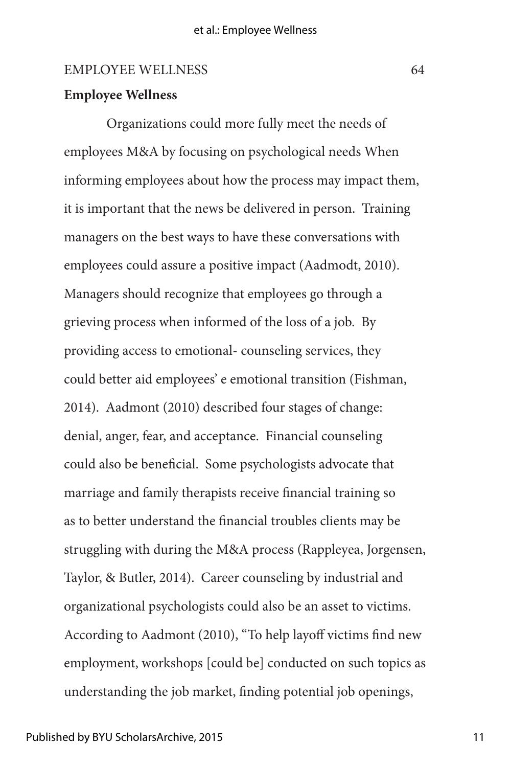#### **Employee Wellness**

Organizations could more fully meet the needs of employees M&A by focusing on psychological needs When informing employees about how the process may impact them, it is important that the news be delivered in person. Training managers on the best ways to have these conversations with employees could assure a positive impact (Aadmodt, 2010). Managers should recognize that employees go through a grieving process when informed of the loss of a job. By providing access to emotional- counseling services, they could better aid employees' e emotional transition (Fishman, 2014). Aadmont (2010) described four stages of change: denial, anger, fear, and acceptance. Financial counseling could also be beneficial. Some psychologists advocate that marriage and family therapists receive financial training so as to better understand the financial troubles clients may be struggling with during the M&A process (Rappleyea, Jorgensen, Taylor, & Butler, 2014). Career counseling by industrial and organizational psychologists could also be an asset to victims. According to Aadmont (2010), "To help layoff victims find new employment, workshops [could be] conducted on such topics as understanding the job market, finding potential job openings,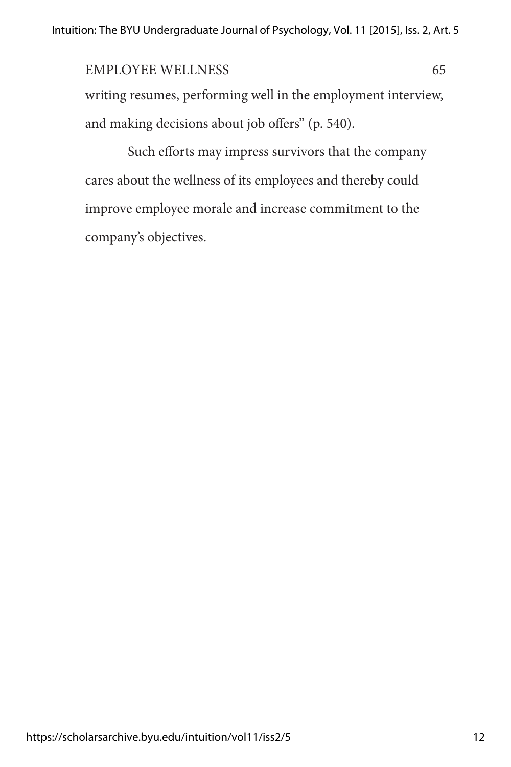writing resumes, performing well in the employment interview, and making decisions about job offers" (p. 540).

Such efforts may impress survivors that the company cares about the wellness of its employees and thereby could improve employee morale and increase commitment to the company's objectives.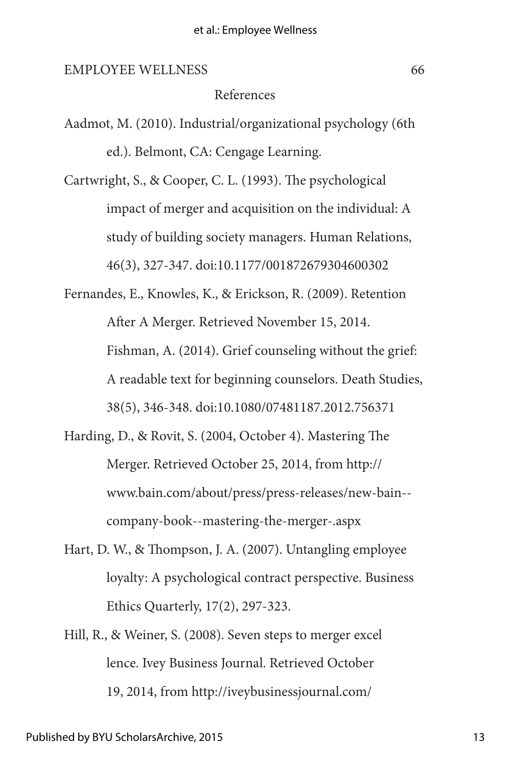#### References

Aadmot, M. (2010). Industrial/organizational psychology (6th ed.). Belmont, CA: Cengage Learning.

Cartwright, S., & Cooper, C. L. (1993). The psychological impact of merger and acquisition on the individual: A study of building society managers. Human Relations, 46(3), 327-347. doi:10.1177/001872679304600302

- Fernandes, E., Knowles, K., & Erickson, R. (2009). Retention After A Merger. Retrieved November 15, 2014. Fishman, A. (2014). Grief counseling without the grief: A readable text for beginning counselors. Death Studies, 38(5), 346-348. doi:10.1080/07481187.2012.756371
- Harding, D., & Rovit, S. (2004, October 4). Mastering The Merger. Retrieved October 25, 2014, from http:// www.bain.com/about/press/press-releases/new-bain- company-book--mastering-the-merger-.aspx
- Hart, D. W., & Thompson, J. A. (2007). Untangling employee loyalty: A psychological contract perspective. Business Ethics Quarterly, 17(2), 297-323.
- Hill, R., & Weiner, S. (2008). Seven steps to merger excel lence. Ivey Business Journal. Retrieved October 19, 2014, from http://iveybusinessjournal.com/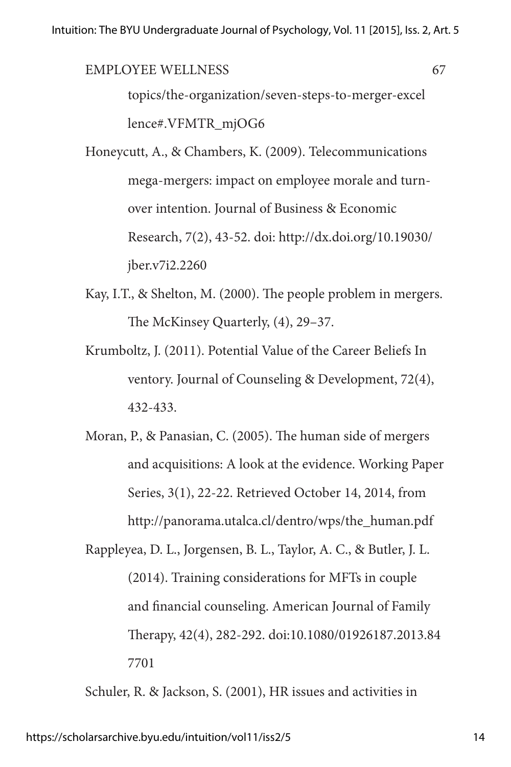topics/the-organization/seven-steps-to-merger-excel lence#.VFMTR\_mjOG6 EMPLOYEE WELLNESS 67

Honeycutt, A., & Chambers, K. (2009). Telecommunications mega-mergers: impact on employee morale and turnover intention. Journal of Business & Economic Research, 7(2), 43-52. doi: http://dx.doi.org/10.19030/ jber.v7i2.2260

- Kay, I.T., & Shelton, M. (2000). The people problem in mergers. The McKinsey Quarterly, (4), 29–37.
- Krumboltz, J. (2011). Potential Value of the Career Beliefs In ventory. Journal of Counseling & Development, 72(4), 432-433.
- Moran, P., & Panasian, C. (2005). The human side of mergers and acquisitions: A look at the evidence. Working Paper Series, 3(1), 22-22. Retrieved October 14, 2014, from http://panorama.utalca.cl/dentro/wps/the\_human.pdf
- Rappleyea, D. L., Jorgensen, B. L., Taylor, A. C., & Butler, J. L. (2014). Training considerations for MFTs in couple and financial counseling. American Journal of Family Therapy, 42(4), 282-292. doi:10.1080/01926187.2013.84 7701

Schuler, R. & Jackson, S. (2001), HR issues and activities in